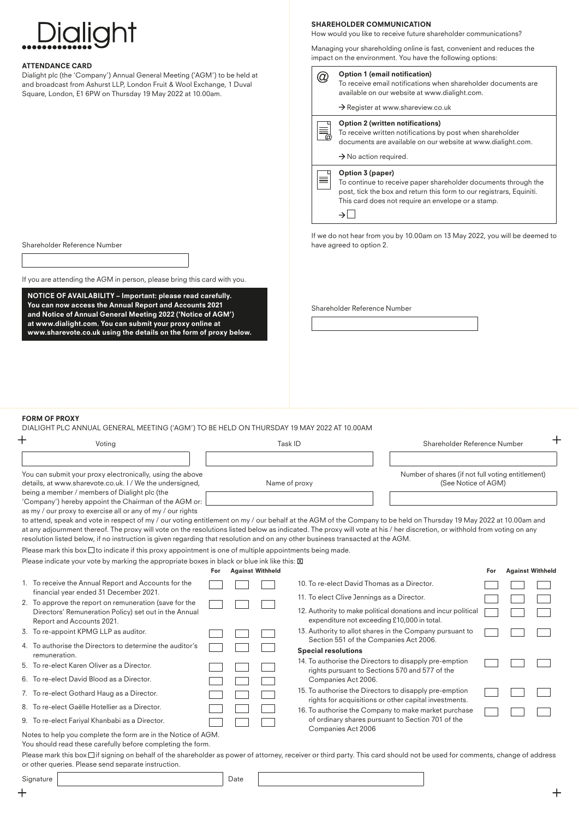| Dialight                                                                                                                                                                                                                                                                                                             |                      | <b>SHAREHOLDER COMMUNICATION</b><br>How would you like to receive future shareholder communications?<br>Managing your shareholding online is fast, convenient and reduces the<br>impact on the environment. You have the following options: |  |  |  |  |
|----------------------------------------------------------------------------------------------------------------------------------------------------------------------------------------------------------------------------------------------------------------------------------------------------------------------|----------------------|---------------------------------------------------------------------------------------------------------------------------------------------------------------------------------------------------------------------------------------------|--|--|--|--|
| <b>ATTENDANCE CARD</b><br>Dialight plc (the 'Company') Annual General Meeting ('AGM') to be held at<br>and broadcast from Ashurst LLP, London Fruit & Wool Exchange, 1 Duval<br>Square, London, E1 6PW on Thursday 19 May 2022 at 10.00am.                                                                           | $^{\textregistered}$ | Option 1 (email notification)<br>To receive email notifications when shareholder documents are<br>available on our website at www.dialight.com.                                                                                             |  |  |  |  |
|                                                                                                                                                                                                                                                                                                                      |                      | $\rightarrow$ Register at www.shareview.co.uk                                                                                                                                                                                               |  |  |  |  |
|                                                                                                                                                                                                                                                                                                                      |                      | <b>Option 2 (written notifications)</b><br>To receive written notifications by post when shareholder<br>documents are available on our website at www.dialight.com.                                                                         |  |  |  |  |
|                                                                                                                                                                                                                                                                                                                      |                      | $\rightarrow$ No action required.                                                                                                                                                                                                           |  |  |  |  |
|                                                                                                                                                                                                                                                                                                                      | ≣                    | Option 3 (paper)<br>To continue to receive paper shareholder documents through the<br>post, tick the box and return this form to our registrars, Equiniti.<br>This card does not require an envelope or a stamp.<br>$\rightarrow$           |  |  |  |  |
| Shareholder Reference Number                                                                                                                                                                                                                                                                                         |                      | If we do not hear from you by 10.00am on 13 May 2022, you will be deemed to<br>have agreed to option 2.                                                                                                                                     |  |  |  |  |
|                                                                                                                                                                                                                                                                                                                      |                      |                                                                                                                                                                                                                                             |  |  |  |  |
| If you are attending the AGM in person, please bring this card with you.                                                                                                                                                                                                                                             |                      |                                                                                                                                                                                                                                             |  |  |  |  |
| NOTICE OF AVAILABILITY - Important: please read carefully.<br>You can now access the Annual Report and Accounts 2021<br>and Notice of Annual General Meeting 2022 ('Notice of AGM')<br>at www.dialight.com. You can submit your proxy online at<br>www.sharevote.co.uk using the details on the form of proxy below. |                      | Shareholder Reference Number                                                                                                                                                                                                                |  |  |  |  |
|                                                                                                                                                                                                                                                                                                                      |                      |                                                                                                                                                                                                                                             |  |  |  |  |
| <b>FORM OF PROXY</b><br>DIALIGHT PLC ANNUAL GENERAL MEETING ('AGM') TO BE HELD ON THURSDAY 19 MAY 2022 AT 10.00AM                                                                                                                                                                                                    |                      |                                                                                                                                                                                                                                             |  |  |  |  |
| Voting                                                                                                                                                                                                                                                                                                               | Task ID              | ┭<br>Shareholder Reference Number                                                                                                                                                                                                           |  |  |  |  |
| You can submit your proxy electronically, using the above<br>details, at www.sharevote.co.uk. I / We the undersigned,                                                                                                                                                                                                | Name of proxy        | Number of shares (if not full voting entitlement)<br>(See Notice of AGM)                                                                                                                                                                    |  |  |  |  |
| being a member / members of Dialight plc (the<br>'Company') hereby appoint the Chairman of the AGM or:<br>as my / our proxy to exercise all or any of my / our rights                                                                                                                                                |                      | to attend, speak and vote in respect of my / our voting entitlement on my / our behalf at the AGM of the Company to be held on Thursday 19 May 2022 at 10.00am and                                                                          |  |  |  |  |
| resolution listed below, if no instruction is given regarding that resolution and on any other business transacted at the AGM.                                                                                                                                                                                       |                      | at any adjournment thereof. The proxy will vote on the resolutions listed below as indicated. The proxy will vote at his / her discretion, or withhold from voting on any                                                                   |  |  |  |  |

Please mark this box  $\Box$  to indicate if this proxy appointment is one of multiple appointments being made.

Please indicate your vote by marking the appropriate boxes in black or blue ink like this:  $[1]$ 

|                                                                                                | For | <b>Against Withheld</b> |                                                                                                                 | For | <b>Against Withheld</b> |  |
|------------------------------------------------------------------------------------------------|-----|-------------------------|-----------------------------------------------------------------------------------------------------------------|-----|-------------------------|--|
| 1. To receive the Annual Report and Accounts for the<br>financial year ended 31 December 2021. |     |                         | 10. To re-elect David Thomas as a Director.                                                                     |     |                         |  |
| 2. To approve the report on remuneration (save for the                                         |     |                         | 11. To elect Clive Jennings as a Director.                                                                      |     |                         |  |
| Directors' Remuneration Policy) set out in the Annual<br>Report and Accounts 2021.             |     |                         | 12. Authority to make political donations and incur political<br>expenditure not exceeding £10,000 in total.    |     |                         |  |
| 3. To re-appoint KPMG LLP as auditor.                                                          |     |                         | 13. Authority to allot shares in the Company pursuant to<br>Section 551 of the Companies Act 2006.              |     |                         |  |
| 4. To authorise the Directors to determine the auditor's<br>remuneration.                      |     |                         | <b>Special resolutions</b>                                                                                      |     |                         |  |
| 5. To re-elect Karen Oliver as a Director.                                                     |     |                         | 14. To authorise the Directors to disapply pre-emption<br>rights pursuant to Sections 570 and 577 of the        |     |                         |  |
| 6. To re-elect David Blood as a Director.                                                      |     |                         | Companies Act 2006.                                                                                             |     |                         |  |
| 7. To re-elect Gothard Haug as a Director.                                                     |     |                         | 15. To authorise the Directors to disapply pre-emption<br>rights for acquisitions or other capital investments. |     |                         |  |
| 8. To re-elect Gaëlle Hotellier as a Director.                                                 |     |                         | 16. To authorise the Company to make market purchase                                                            |     |                         |  |
| 9. To re-elect Fariyal Khanbabi as a Director.                                                 |     |                         | of ordinary shares pursuant to Section 701 of the                                                               |     |                         |  |
| Notes to help you complete the form are in the Notice of AGM                                   |     |                         | Companies Act 2006                                                                                              |     |                         |  |

Notes to help you complete the form are in the Notice of AGM. You should read these carefully before completing the form.

Please mark this box  $\Box$  if signing on behalf of the shareholder as power of attorney, receiver or third party. This card should not be used for comments, change of address or other queries. Please send separate instruction.

Signature Date

 $\ddot{}$